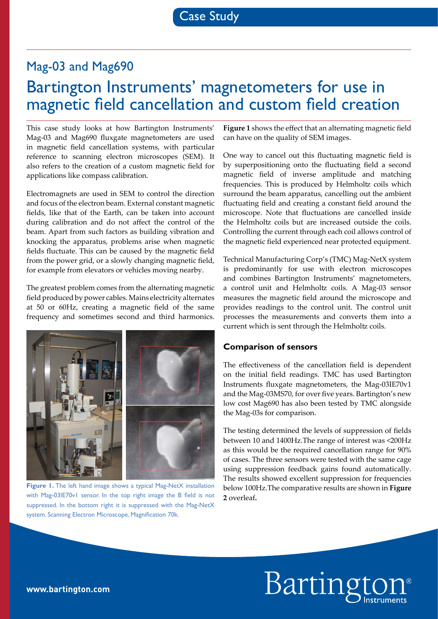# Mag-03 and Mag690 Bartington Instruments' magnetometers for use in magnetic field cancellation and custom field creation

This case study looks at how Bartington Instruments' Mag‑03 and Mag690 fluxgate magnetometers are used in magnetic field cancellation systems, with particular reference to scanning electron microscopes (SEM). It also refers to the creation of a custom magnetic field for applications like compass calibration.

Electromagnets are used in SEM to control the direction and focus of the electron beam. External constant magnetic fields, like that of the Earth, can be taken into account during calibration and do not affect the control of the beam. Apart from such factors as building vibration and knocking the apparatus, problems arise when magnetic fields fluctuate. This can be caused by the magnetic field from the power grid, or a slowly changing magnetic field, for example from elevators or vehicles moving nearby.

The greatest problem comes from the alternating magnetic field produced by power cables. Mains electricity alternates at 50 or 60Hz, creating a magnetic field of the same frequency and sometimes second and third harmonics.



**Figure 1.** The left hand image shows a typical Mag-NetX installation with Mag-03IE70v1 sensor. In the top right image the B field is not suppressed. In the bottom right it is suppressed with the Mag-NetX system. Scanning Electron Microscope, Magnification 70k.

**Figure 1** shows the effect that an alternating magnetic field can have on the quality of SEM images.

One way to cancel out this fluctuating magnetic field is by superpositioning onto the fluctuating field a second magnetic field of inverse amplitude and matching frequencies. This is produced by Helmholtz coils which surround the beam apparatus, cancelling out the ambient fluctuating field and creating a constant field around the microscope. Note that fluctuations are cancelled inside the Helmholtz coils but are increased outside the coils. Controlling the current through each coil allows control of the magnetic field experienced near protected equipment.

Technical Manufacturing Corp's (TMC) Mag-NetX system is predominantly for use with electron microscopes and combines Bartington Instruments' magnetometers, a control unit and Helmholtz coils. A Mag-03 sensor measures the magnetic field around the microscope and provides readings to the control unit. The control unit processes the measurements and converts them into a current which is sent through the Helmholtz coils.

#### **Comparison of sensors**

The effectiveness of the cancellation field is dependent on the initial field readings. TMC has used Bartington Instruments fluxgate magnetometers, the Mag-03IE70v1 and the Mag‑03MS70, for over five years. Bartington's new low cost Mag690 has also been tested by TMC alongside the Mag-03s for comparison.

The testing determined the levels of suppression of fields between 10 and 1400Hz.The range of interest was <200Hz as this would be the required cancellation range for 90% of cases. The three sensors were tested with the same cage using suppression feedback gains found automatically. The results showed excellent suppression for frequencies below 100Hz.The comparative results are shown in **Figure 2** overleaf**.**

# Barting

#### **www.bartington.com**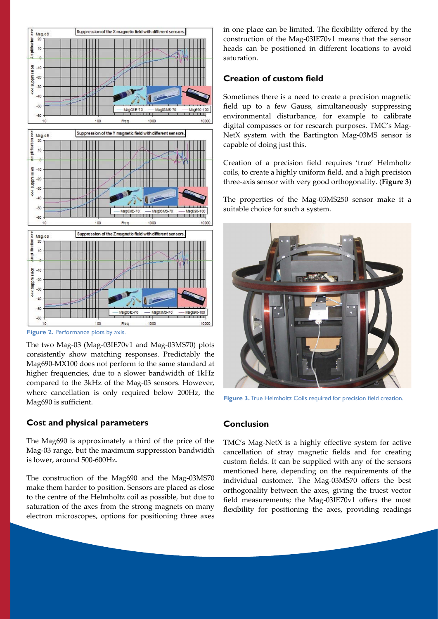

**Figure 2.** Performance plots by axis.

The two Mag-03 (Mag-03IE70v1 and Mag-03MS70) plots consistently show matching responses. Predictably the Mag690-MX100 does not perform to the same standard at higher frequencies, due to a slower bandwidth of 1kHz compared to the 3kHz of the Mag-03 sensors. However, where cancellation is only required below 200Hz, the Mag690 is sufficient.

# **Cost and physical parameters**

The Mag690 is approximately a third of the price of the Mag‑03 range, but the maximum suppression bandwidth is lower, around 500-600Hz.

The construction of the Mag690 and the Mag-03MS70 make them harder to position. Sensors are placed as close to the centre of the Helmholtz coil as possible, but due to saturation of the axes from the strong magnets on many electron microscopes, options for positioning three axes

in one place can be limited. The flexibility offered by the construction of the Mag-03IE70v1 means that the sensor heads can be positioned in different locations to avoid saturation.

### **Creation of custom field**

Sometimes there is a need to create a precision magnetic field up to a few Gauss, simultaneously suppressing environmental disturbance, for example to calibrate digital compasses or for research purposes. TMC's Mag-NetX system with the Bartington Mag-03MS sensor is capable of doing just this.

Creation of a precision field requires 'true' Helmholtz coils, to create a highly uniform field, and a high precision three-axis sensor with very good orthogonality. (**Figure 3**)

The properties of the Mag-03MS250 sensor make it a suitable choice for such a system.



**Figure 3.** True Helmholtz Coils required for precision field creation.

# **Conclusion**

TMC's Mag-NetX is a highly effective system for active cancellation of stray magnetic fields and for creating custom fields. It can be supplied with any of the sensors mentioned here, depending on the requirements of the individual customer. The Mag-03MS70 offers the best orthogonality between the axes, giving the truest vector field measurements; the Mag-03IE70v1 offers the most flexibility for positioning the axes, providing readings